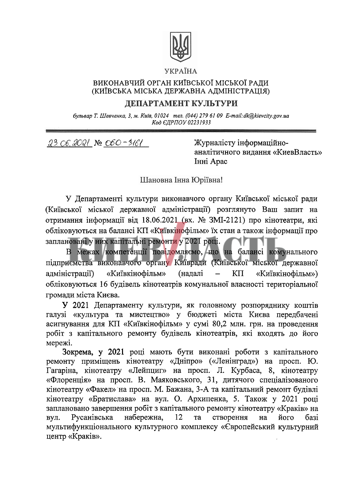

## УКРАЇНА

## ВИКОНАВЧИЙ ОРГАН КИЇВСЬКОЇ МІСЬКОЇ РАДИ (КИЇВСЬКА МІСЬКА ДЕРЖАВНА АДМІНІСТРАЦІЯ)

## ДЕПАРТАМЕНТ КУЛЬТУРИ

бульвар Т. Шевченка, 3, м. Київ, 01024 тел. (044) 279 61 09 E-mail: dk@kievcity.gov.ua Код ЄДРПОУ 02231933

23.06.2021 No 060-3161

Журналісту інформаційноаналітичного видання «КиевВласть» Iнні Арас

Шановна Інна Юріївна!

У Департаменті культури виконавчого органу Київської міської ради (Київської міської державної адміністрації) розглянуто Ваш запит на отримання інформації від 18.06.2021 (вх. № ЗМІ-2121) про кінотеатри, які обліковуються на балансі КП «Київкінофільм» їх стан а також інформації про заплановані у них капітальні ремонти у 2021 році.

В межах компетенції повідомляємо, що на балансі комунального підприємства виконавчого органу Київради (Київської міської державної «Київкінофільм» адміністрації) (надалі KП «Київкінофільм») обліковуються 16 будівель кінотеатрів комунальної власності територіальної громади міста Києва.

У 2021 Департаменту культури, як головному розпоряднику коштів галузі «культура та мистецтво» у бюджеті міста Києва передбачені асигнування для КП «Київкінофільм» у сумі 80,2 млн. грн. на проведення робіт з капітального ремонту будівель кінотеатрів, які входять до його мережі.

Зокрема, у 2021 році мають бути виконані роботи з капітального ремонту приміщень кінотеатру «Дніпро» («Ленінград») на просп. Ю. Гагаріна, кінотеатру «Лейпциг» на просп. Л. Курбаса, 8, кінотеатру «Флоренція» на просп. В. Маяковського, 31, дитячого спеціалізованого кінотеатру «Факел» на просп. М. Бажана, 3-А та капітальний ремонт будівлі кінотеатру «Братислава» на вул. О. Архипенка, 5. Також у 2021 році заплановано завершення робіт з капітального ремонту кінотеатру «Краків» на Русанівська набережна, 12 **Ta** створення на його базі вул. мультифункціонального культурного комплексу «Європейський культурний центр «Краків».